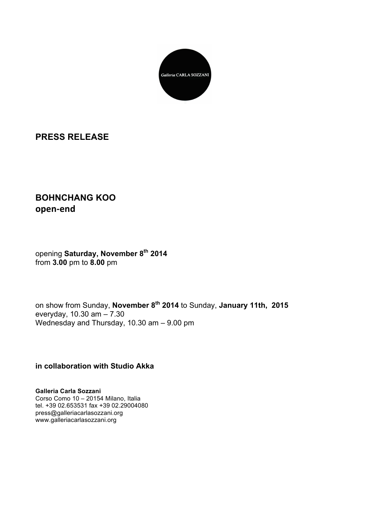

## **PRESS RELEASE**

## **BOHNCHANG KOO open-end**

## opening **Saturday, November 8th 2014** from **3.00** pm to **8.00** pm

on show from Sunday, **November 8th 2014** to Sunday, **January 11th, 2015** everyday, 10.30 am – 7.30 Wednesday and Thursday, 10.30 am – 9.00 pm

**in collaboration with Studio Akka**

**Galleria Carla Sozzani** Corso Como 10 – 20154 Milano, Italia tel. +39 02.653531 fax +39 02.29004080 press@galleriacarlasozzani.org www.galleriacarlasozzani.org